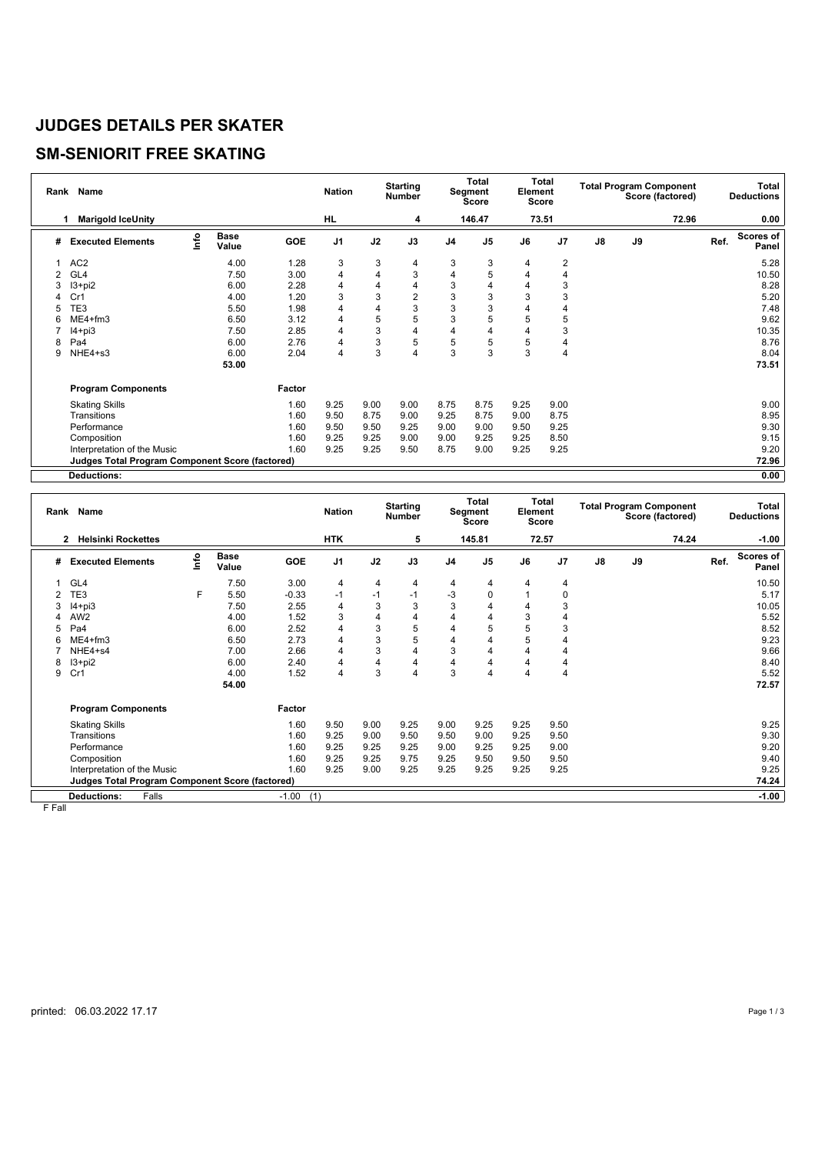#### **JUDGES DETAILS PER SKATER**

## **SM-SENIORIT FREE SKATING**

|   | Rank Name                                              |      |                      |            | <b>Nation</b>  |      | <b>Starting</b><br><b>Number</b> | Total<br>Segment<br>Score |                | Total<br>Element<br>Score |                | <b>Total Program Component</b><br>Score (factored) |    |       | Total<br><b>Deductions</b> |                    |
|---|--------------------------------------------------------|------|----------------------|------------|----------------|------|----------------------------------|---------------------------|----------------|---------------------------|----------------|----------------------------------------------------|----|-------|----------------------------|--------------------|
|   | <b>Marigold IceUnity</b><br>1                          |      |                      |            | HL             |      | 4                                |                           | 146.47         |                           | 73.51          |                                                    |    | 72.96 |                            | 0.00               |
| # | <b>Executed Elements</b>                               | lnfo | <b>Base</b><br>Value | <b>GOE</b> | J <sub>1</sub> | J2   | J3                               | J <sub>4</sub>            | J <sub>5</sub> | J6                        | J <sub>7</sub> | $\mathsf{J}8$                                      | J9 |       | Ref.                       | Scores of<br>Panel |
|   | AC <sub>2</sub>                                        |      | 4.00                 | 1.28       | 3              | 3    | 4                                | 3                         | 3              | 4                         | $\overline{2}$ |                                                    |    |       |                            | 5.28               |
| 2 | GL4                                                    |      | 7.50                 | 3.00       | 4              | 4    | 3                                | 4                         | 5              |                           | 4              |                                                    |    |       |                            | 10.50              |
| 3 | $13 + pi2$                                             |      | 6.00                 | 2.28       | 4              | 4    | 4                                | 3                         | 4              | 4                         | 3              |                                                    |    |       |                            | 8.28               |
|   | Cr1                                                    |      | 4.00                 | 1.20       | 3              | 3    | 2                                | 3                         | 3              | 3                         | 3              |                                                    |    |       |                            | 5.20               |
|   | TE3                                                    |      | 5.50                 | 1.98       | 4              | 4    | 3                                | 3                         | 3              | 4                         | 4              |                                                    |    |       |                            | 7.48               |
| 6 | $ME4 + fm3$                                            |      | 6.50                 | 3.12       | 4              | 5    | 5                                | 3                         | 5              | 5                         | 5              |                                                    |    |       |                            | 9.62               |
|   | $I4 + pi3$                                             |      | 7.50                 | 2.85       | 4              | 3    | 4                                | 4                         | 4              | 4                         | 3              |                                                    |    |       |                            | 10.35              |
| 8 | Pa4                                                    |      | 6.00                 | 2.76       | 4              | 3    | 5                                | 5                         | 5              | 5                         | 4              |                                                    |    |       |                            | 8.76               |
| 9 | NHE4+s3                                                |      | 6.00                 | 2.04       | 4              | 3    | 4                                | 3                         | 3              | 3                         | 4              |                                                    |    |       |                            | 8.04               |
|   |                                                        |      | 53.00                |            |                |      |                                  |                           |                |                           |                |                                                    |    |       |                            | 73.51              |
|   | <b>Program Components</b>                              |      |                      | Factor     |                |      |                                  |                           |                |                           |                |                                                    |    |       |                            |                    |
|   | <b>Skating Skills</b>                                  |      |                      | 1.60       | 9.25           | 9.00 | 9.00                             | 8.75                      | 8.75           | 9.25                      | 9.00           |                                                    |    |       |                            | 9.00               |
|   | Transitions                                            |      |                      | 1.60       | 9.50           | 8.75 | 9.00                             | 9.25                      | 8.75           | 9.00                      | 8.75           |                                                    |    |       |                            | 8.95               |
|   | Performance                                            |      |                      | 1.60       | 9.50           | 9.50 | 9.25                             | 9.00                      | 9.00           | 9.50                      | 9.25           |                                                    |    |       |                            | 9.30               |
|   | Composition                                            |      |                      | 1.60       | 9.25           | 9.25 | 9.00                             | 9.00                      | 9.25           | 9.25                      | 8.50           |                                                    |    |       |                            | 9.15               |
|   | Interpretation of the Music                            |      |                      | 1.60       | 9.25           | 9.25 | 9.50                             | 8.75                      | 9.00           | 9.25                      | 9.25           |                                                    |    |       |                            | 9.20               |
|   | <b>Judges Total Program Component Score (factored)</b> |      |                      |            |                |      |                                  |                           |                |                           |                |                                                    |    |       |                            | 72.96              |
|   | <b>Deductions:</b>                                     |      |                      |            |                |      |                                  |                           |                |                           |                |                                                    |    |       |                            | 0.00               |

|   | Rank Name                                              |      |                      |            | <b>Nation</b>  | <b>Starting</b><br><b>Number</b> |                | Total<br>Segment<br><b>Score</b> |                | <b>Total</b><br>Element<br>Score |       |               | <b>Total Program Component</b><br>Score (factored) | Total<br><b>Deductions</b> |      |                    |
|---|--------------------------------------------------------|------|----------------------|------------|----------------|----------------------------------|----------------|----------------------------------|----------------|----------------------------------|-------|---------------|----------------------------------------------------|----------------------------|------|--------------------|
|   | <b>Helsinki Rockettes</b><br>$\mathbf{2}$              |      |                      |            | <b>HTK</b>     |                                  | 5              |                                  | 145.81         |                                  | 72.57 |               |                                                    | 74.24                      |      | $-1.00$            |
| # | <b>Executed Elements</b>                               | Info | <b>Base</b><br>Value | <b>GOE</b> | J <sub>1</sub> | J2                               | J3             | J <sub>4</sub>                   | J <sub>5</sub> | J6                               | J7    | $\mathsf{J}8$ | J9                                                 |                            | Ref. | Scores of<br>Panel |
|   | GL <sub>4</sub>                                        |      | 7.50                 | 3.00       | 4              | $\overline{4}$                   | 4              | 4                                | 4              | 4                                | 4     |               |                                                    |                            |      | 10.50              |
|   | TE3                                                    | F    | 5.50                 | $-0.33$    | $-1$           | $-1$                             | $-1$           | $-3$                             | 0              |                                  | 0     |               |                                                    |                            |      | 5.17               |
|   | $I4 + pi3$                                             |      | 7.50                 | 2.55       | 4              | 3                                | 3              | 3                                | 4              | 4                                | 3     |               |                                                    |                            |      | 10.05              |
|   | AW <sub>2</sub>                                        |      | 4.00                 | 1.52       | 3              | 4                                | 4              | 4                                | 4              | 3                                | 4     |               |                                                    |                            |      | 5.52               |
| 5 | Pa4                                                    |      | 6.00                 | 2.52       | 4              | 3                                | 5              | 4                                | 5              |                                  | 3     |               |                                                    |                            |      | 8.52               |
| 6 | ME4+fm3                                                |      | 6.50                 | 2.73       | 4              | 3                                | 5              | 4                                | 4              | 5                                | 4     |               |                                                    |                            |      | 9.23               |
|   | NHE4+s4                                                |      | 7.00                 | 2.66       | 4              | 3                                | $\overline{4}$ | 3                                | 4              | 4                                | 4     |               |                                                    |                            |      | 9.66               |
| 8 | $13+pi2$                                               |      | 6.00                 | 2.40       | 4              | 4                                | $\overline{4}$ | 4                                | 4              | 4                                | 4     |               |                                                    |                            |      | 8.40               |
| 9 | Cr1                                                    |      | 4.00                 | 1.52       | 4              | 3                                | $\overline{4}$ | 3                                | 4              | 4                                | 4     |               |                                                    |                            |      | 5.52               |
|   |                                                        |      | 54.00                |            |                |                                  |                |                                  |                |                                  |       |               |                                                    |                            |      | 72.57              |
|   | <b>Program Components</b>                              |      |                      | Factor     |                |                                  |                |                                  |                |                                  |       |               |                                                    |                            |      |                    |
|   | <b>Skating Skills</b>                                  |      |                      | 1.60       | 9.50           | 9.00                             | 9.25           | 9.00                             | 9.25           | 9.25                             | 9.50  |               |                                                    |                            |      | 9.25               |
|   | Transitions                                            |      |                      | 1.60       | 9.25           | 9.00                             | 9.50           | 9.50                             | 9.00           | 9.25                             | 9.50  |               |                                                    |                            |      | 9.30               |
|   | Performance                                            |      |                      | 1.60       | 9.25           | 9.25                             | 9.25           | 9.00                             | 9.25           | 9.25                             | 9.00  |               |                                                    |                            |      | 9.20               |
|   | Composition                                            |      |                      | 1.60       | 9.25           | 9.25                             | 9.75           | 9.25                             | 9.50           | 9.50                             | 9.50  |               |                                                    |                            |      | 9.40               |
|   | Interpretation of the Music                            |      |                      | 1.60       | 9.25           | 9.00                             | 9.25           | 9.25                             | 9.25           | 9.25                             | 9.25  |               |                                                    |                            |      | 9.25               |
|   | <b>Judges Total Program Component Score (factored)</b> |      |                      |            |                |                                  |                |                                  |                |                                  |       |               |                                                    |                            |      | 74.24              |
|   | <b>Deductions:</b><br>Falls                            |      |                      | $-1.00$    | (1)            |                                  |                |                                  |                |                                  |       |               |                                                    |                            |      | $-1.00$            |

F Fall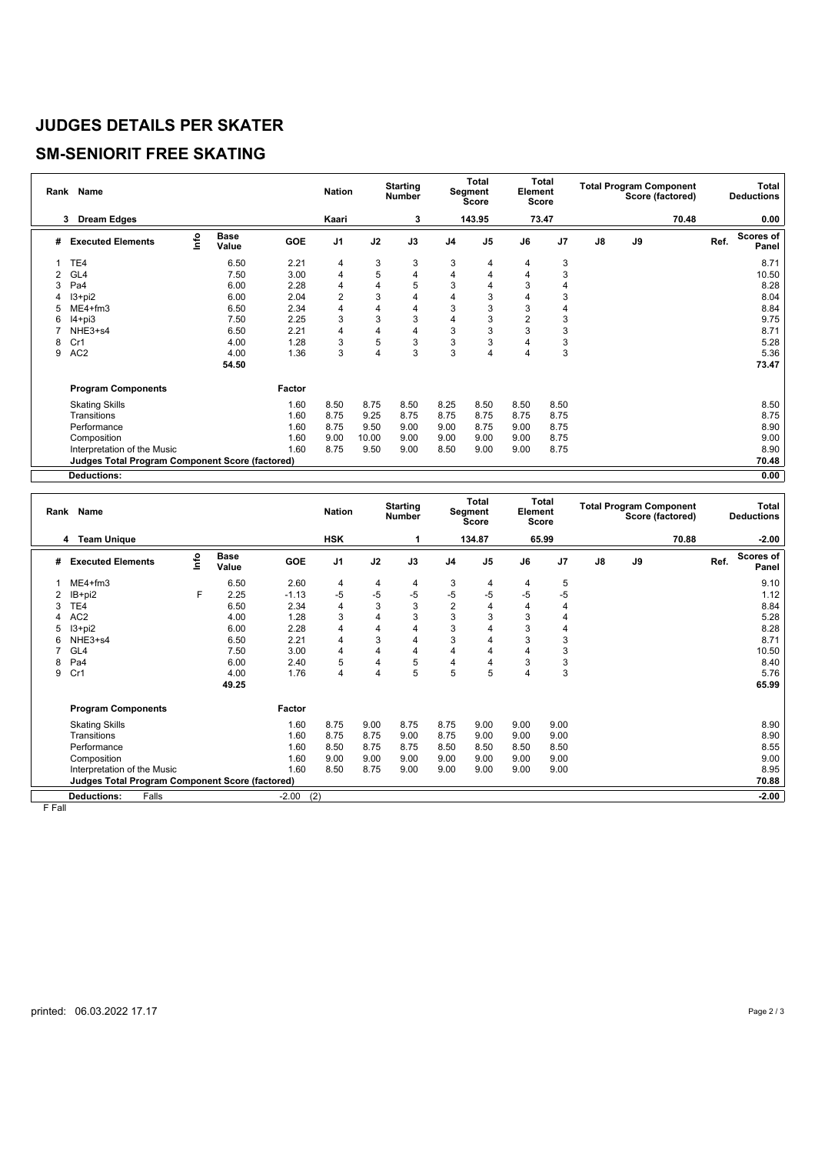#### **JUDGES DETAILS PER SKATER**

## **SM-SENIORIT FREE SKATING**

|   | Rank Name                                              |      |                      |            | <b>Nation</b>  |       | <b>Starting</b><br><b>Number</b> | <b>Total</b><br>Segment<br>Score |                | Total<br>Element<br><b>Score</b> |                | <b>Total Program Component</b><br>Score (factored) |    |       | Total<br><b>Deductions</b> |                           |
|---|--------------------------------------------------------|------|----------------------|------------|----------------|-------|----------------------------------|----------------------------------|----------------|----------------------------------|----------------|----------------------------------------------------|----|-------|----------------------------|---------------------------|
|   | 3<br><b>Dream Edges</b>                                |      |                      |            | Kaari          |       | 3                                |                                  | 143.95         |                                  | 73.47          |                                                    |    | 70.48 |                            | 0.00                      |
| # | <b>Executed Elements</b>                               | lnfo | <b>Base</b><br>Value | <b>GOE</b> | J <sub>1</sub> | J2    | J3                               | J <sub>4</sub>                   | J <sub>5</sub> | J6                               | J <sub>7</sub> | J8                                                 | J9 |       | Ref.                       | <b>Scores of</b><br>Panel |
|   | TE <sub>4</sub>                                        |      | 6.50                 | 2.21       | 4              | 3     | 3                                | 3                                | 4              | 4                                | 3              |                                                    |    |       |                            | 8.71                      |
| 2 | GL4                                                    |      | 7.50                 | 3.00       | 4              | 5     | 4                                | 4                                | 4              | 4                                | 3              |                                                    |    |       |                            | 10.50                     |
| 3 | Pa4                                                    |      | 6.00                 | 2.28       | 4              | 4     | 5                                | 3                                | 4              | 3                                | 4              |                                                    |    |       |                            | 8.28                      |
|   | $13 + pi2$                                             |      | 6.00                 | 2.04       | $\overline{2}$ | 3     | 4                                | 4                                | 3              | 4                                | 3              |                                                    |    |       |                            | 8.04                      |
|   | $ME4 + fm3$                                            |      | 6.50                 | 2.34       | 4              | 4     | 4                                | 3                                | 3              | 3                                | 4              |                                                    |    |       |                            | 8.84                      |
| 6 | $I4 + pi3$                                             |      | 7.50                 | 2.25       | 3              | 3     | 3                                | 4                                | 3              | $\overline{2}$                   | 3              |                                                    |    |       |                            | 9.75                      |
|   | NHE3+s4                                                |      | 6.50                 | 2.21       | 4              | 4     | 4                                | 3                                | 3              | 3                                | 3              |                                                    |    |       |                            | 8.71                      |
| 8 | Cr1                                                    |      | 4.00                 | 1.28       | 3              | 5     | 3                                | 3                                | 3              | 4                                | 3              |                                                    |    |       |                            | 5.28                      |
| 9 | AC <sub>2</sub>                                        |      | 4.00                 | 1.36       | 3              | 4     | 3                                | 3                                | 4              | 4                                | 3              |                                                    |    |       |                            | 5.36                      |
|   |                                                        |      | 54.50                |            |                |       |                                  |                                  |                |                                  |                |                                                    |    |       |                            | 73.47                     |
|   | <b>Program Components</b>                              |      |                      | Factor     |                |       |                                  |                                  |                |                                  |                |                                                    |    |       |                            |                           |
|   | <b>Skating Skills</b>                                  |      |                      | 1.60       | 8.50           | 8.75  | 8.50                             | 8.25                             | 8.50           | 8.50                             | 8.50           |                                                    |    |       |                            | 8.50                      |
|   | Transitions                                            |      |                      | 1.60       | 8.75           | 9.25  | 8.75                             | 8.75                             | 8.75           | 8.75                             | 8.75           |                                                    |    |       |                            | 8.75                      |
|   | Performance                                            |      |                      | 1.60       | 8.75           | 9.50  | 9.00                             | 9.00                             | 8.75           | 9.00                             | 8.75           |                                                    |    |       |                            | 8.90                      |
|   | Composition                                            |      |                      | 1.60       | 9.00           | 10.00 | 9.00                             | 9.00                             | 9.00           | 9.00                             | 8.75           |                                                    |    |       |                            | 9.00                      |
|   | Interpretation of the Music                            |      |                      | 1.60       | 8.75           | 9.50  | 9.00                             | 8.50                             | 9.00           | 9.00                             | 8.75           |                                                    |    |       |                            | 8.90                      |
|   | <b>Judges Total Program Component Score (factored)</b> |      |                      |            |                |       |                                  |                                  |                |                                  |                |                                                    |    |       |                            | 70.48                     |
|   | <b>Deductions:</b>                                     |      |                      |            |                |       |                                  |                                  |                |                                  |                |                                                    |    |       |                            | 0.00                      |

|   | Rank Name                                              |      |                      |            | <b>Nation</b>  |                | <b>Starting</b><br><b>Number</b> | Total<br>Segment<br>Score |                | <b>Total</b><br>Element<br>Score |       | <b>Total Program Component</b><br>Score (factored) |    |       | Total<br><b>Deductions</b> |                    |
|---|--------------------------------------------------------|------|----------------------|------------|----------------|----------------|----------------------------------|---------------------------|----------------|----------------------------------|-------|----------------------------------------------------|----|-------|----------------------------|--------------------|
|   | 4 Team Unique                                          |      |                      |            | <b>HSK</b>     |                |                                  |                           | 134.87         |                                  | 65.99 |                                                    |    | 70.88 |                            | $-2.00$            |
| # | <b>Executed Elements</b>                               | Info | <b>Base</b><br>Value | <b>GOE</b> | J <sub>1</sub> | J2             | J3                               | J <sub>4</sub>            | J <sub>5</sub> | J6                               | J7    | $\mathsf{J}8$                                      | J9 |       | Ref.                       | Scores of<br>Panel |
|   | $ME4 + fm3$                                            |      | 6.50                 | 2.60       | 4              | 4              | 4                                | 3                         | 4              | 4                                | 5     |                                                    |    |       |                            | 9.10               |
|   | IB+pi2                                                 | F    | 2.25                 | $-1.13$    | $-5$           | $-5$           | $-5$                             | $-5$                      | $-5$           | -5                               | $-5$  |                                                    |    |       |                            | 1.12               |
|   | TE4                                                    |      | 6.50                 | 2.34       | 4              | 3              | 3                                | $\overline{2}$            | 4              | 4                                | 4     |                                                    |    |       |                            | 8.84               |
|   | AC <sub>2</sub>                                        |      | 4.00                 | 1.28       | 3              | 4              | 3                                | 3                         | 3              | 3                                | 4     |                                                    |    |       |                            | 5.28               |
| 5 | $13 + pi2$                                             |      | 6.00                 | 2.28       | 4              | 4              | $\overline{4}$                   | 3                         |                | 3                                | 4     |                                                    |    |       |                            | 8.28               |
| 6 | NHE3+s4                                                |      | 6.50                 | 2.21       | 4              | 3              | $\overline{4}$                   | 3                         | 4              | 3                                | 3     |                                                    |    |       |                            | 8.71               |
|   | GL <sub>4</sub>                                        |      | 7.50                 | 3.00       | 4              | 4              | $\overline{4}$                   | $\overline{4}$            | 4              | 4                                | 3     |                                                    |    |       |                            | 10.50              |
| 8 | Pa4                                                    |      | 6.00                 | 2.40       | 5              | 4              | 5                                | 4                         | 4              | 3                                | 3     |                                                    |    |       |                            | 8.40               |
| 9 | Cr1                                                    |      | 4.00                 | 1.76       | 4              | $\overline{4}$ | 5                                | 5                         | 5              | 4                                | 3     |                                                    |    |       |                            | 5.76               |
|   |                                                        |      | 49.25                |            |                |                |                                  |                           |                |                                  |       |                                                    |    |       |                            | 65.99              |
|   | <b>Program Components</b>                              |      |                      | Factor     |                |                |                                  |                           |                |                                  |       |                                                    |    |       |                            |                    |
|   | <b>Skating Skills</b>                                  |      |                      | 1.60       | 8.75           | 9.00           | 8.75                             | 8.75                      | 9.00           | 9.00                             | 9.00  |                                                    |    |       |                            | 8.90               |
|   | Transitions                                            |      |                      | 1.60       | 8.75           | 8.75           | 9.00                             | 8.75                      | 9.00           | 9.00                             | 9.00  |                                                    |    |       |                            | 8.90               |
|   | Performance                                            |      |                      | 1.60       | 8.50           | 8.75           | 8.75                             | 8.50                      | 8.50           | 8.50                             | 8.50  |                                                    |    |       |                            | 8.55               |
|   | Composition                                            |      |                      | 1.60       | 9.00           | 9.00           | 9.00                             | 9.00                      | 9.00           | 9.00                             | 9.00  |                                                    |    |       |                            | 9.00               |
|   | Interpretation of the Music                            |      |                      | 1.60       | 8.50           | 8.75           | 9.00                             | 9.00                      | 9.00           | 9.00                             | 9.00  |                                                    |    |       |                            | 8.95               |
|   | <b>Judges Total Program Component Score (factored)</b> |      |                      |            |                |                |                                  |                           |                |                                  |       |                                                    |    |       |                            | 70.88              |
|   | <b>Deductions:</b><br>Falls                            |      |                      | $-2.00$    | (2)            |                |                                  |                           |                |                                  |       |                                                    |    |       |                            | $-2.00$            |

F Fall